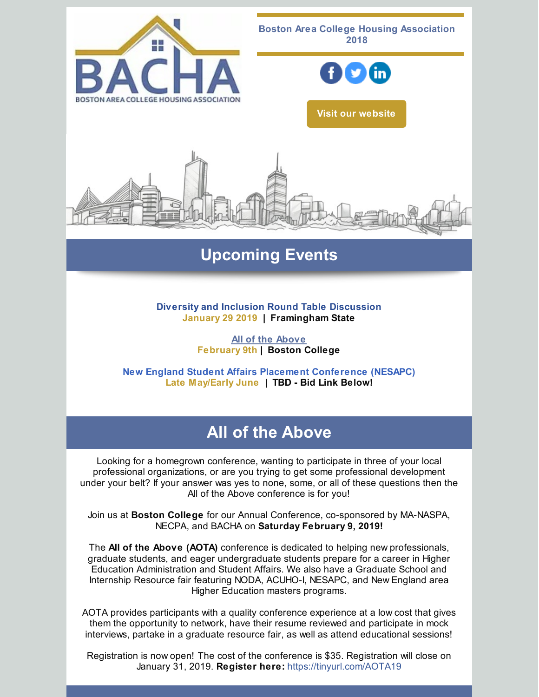

# **Upcoming Events**

**Diversity and Inclusion Round Table Discussion January 29 2019 | Framingham State**

> **All of the [Above](http://events.constantcontact.com/register/event?llr=vserd4zab&oeidk=a07efsm9nkt8b10cd0e) February 9th | Boston College**

**New England Student Affairs Placement Conference (NESAPC) Late May/Early June | TBD - Bid Link Below!**

# **All of the Above**

Looking for a homegrown conference, wanting to participate in three of your local professional organizations, or are you trying to get some professional development under your belt? If your answer was yes to none, some, or all of these questions then the All of the Above conference is for you!

Join us at **Boston College** for our Annual Conference, co-sponsored by MA-NASPA, NECPA, and BACHA on **Saturday February 9, 2019!**

The **All of the Above (AOTA)** conference is dedicated to helping new professionals, graduate students, and eager undergraduate students prepare for a career in Higher Education Administration and Student Affairs. We also have a Graduate School and Internship Resource fair featuring NODA, ACUHO-I, NESAPC, and New England area Higher Education masters programs.

AOTA provides participants with a quality conference experience at a low cost that gives them the opportunity to network, have their resume reviewed and participate in mock interviews, partake in a graduate resource fair, as well as attend educational sessions!

Registration is now open! The cost of the conference is \$35. Registration will close on January 31, 2019. **Register here:** [https://tinyurl.com/AOTA19](http://events.constantcontact.com/register/event?llr=vserd4zab&oeidk=a07efsm9nkt8b10cd0e)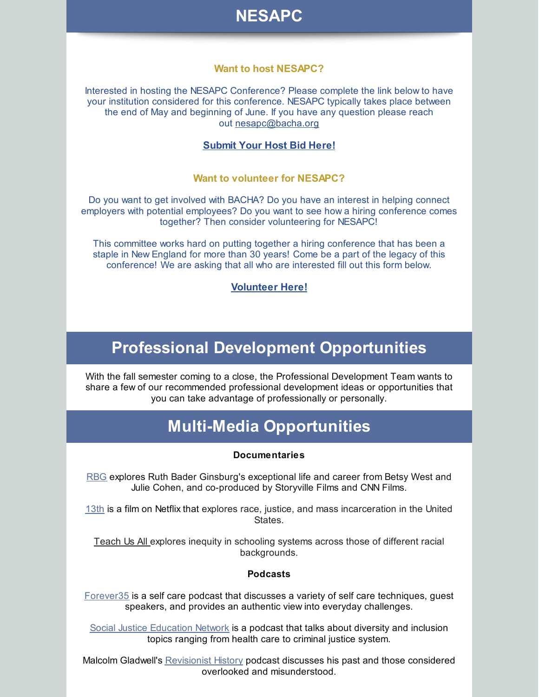

### **Want to host NESAPC?**

Interested in hosting the NESAPC Conference? Please complete the link below to have your institution considered for this conference. NESAPC typically takes place between the end of May and beginning of June. If you have any question please reach out [nesapc@bacha.org](mailto:nesapc@bacha.org)

### **[Submit](https://docs.google.com/forms/d/e/1FAIpQLSfJY88_BMCNDXXnftq6r6Q29cKK00jvlxM_7Gvd-RRBZaLixA/viewform?usp=sf_link) Your Host Bid Here!**

#### **Want to volunteer for NESAPC?**

Do you want to get involved with BACHA? Do you have an interest in helping connect employers with potential employees? Do you want to see how a hiring conference comes together? Then consider volunteering for NESAPC!

This committee works hard on putting together a hiring conference that has been a staple in New England for more than 30 years! Come be a part of the legacy of this conference! We are asking that all who are interested fill out this form below.

### **[Volunteer](https://docs.google.com/forms/d/e/1FAIpQLSePHQEO3TQr33jcY-hNEh7gtmCpG78yMS5QglqnyqXI99unYQ/viewform?usp=sf_link) Here!**

## **Professional Development Opportunities**

With the fall semester coming to a close, the Professional Development Team wants to share a few of our recommended professional development ideas or opportunities that you can take advantage of professionally or personally.

### **Multi-Media Opportunities**

#### **Documentaries**

[RBG](https://www.youtube.com/watch?v=biIRlcQqmOc) explores Ruth Bader Ginsburg's exceptional life and career from Betsy West and Julie Cohen, and co-produced by Storyville Films and CNN Films.

[13th](https://www.youtube.com/watch?v=V66F3WU2CKk) is a film on Netflix that explores race, justice, and mass incarceration in the United States.

[Teach](http://www.teachusallfilm.org/theatrical-trailer) Us All explores inequity in schooling systems across those of different racial backgrounds.

#### **Podcasts**

[Forever35](https://forever35podcast.com/) is a self care podcast that discusses a variety of self care techniques, guest speakers, and provides an authentic view into everyday challenges.

Social Justice [Education](https://www.stitcher.com/podcast/emilio-herrera/social-justice-education-network-podcast) Network is a podcast that talks about diversity and inclusion topics ranging from health care to criminal justice system.

Malcolm Gladwell's [Revisionist](http://revisionisthistory.com/) History podcast discusses his past and those considered overlooked and misunderstood.